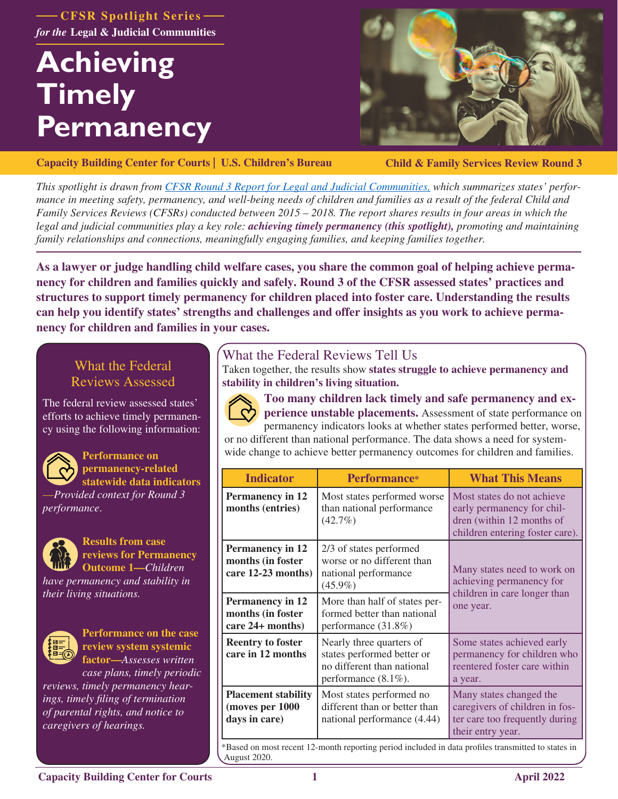**CFSR Spotlight Series Legal & Judicial Communities** *for the*

# **Achieving Timely Permanency**



**[Capacity Building Center for Courts | U.S. Children's Bureau](https://capacity.childwelfare.gov/courts/)**

**Child & Family Services Review Round 3**

*This spotlight is drawn from [CFSR Round 3 Report for Legal and Judicial Communities,](https://www.cfsrportal.acf.hhs.gov/announcements/cfsr-round-3-report-legal-and-judicial-communities) which summarizes states' performance in meeting safety, permanency, and well-being needs of children and families as a result of the federal Child and Family Services Reviews (CFSRs) conducted between 2015 – 2018. The report shares results in four areas in which the legal and judicial communities play a key role: achieving timely permanency (this spotlight), promoting and maintaining family relationships and connections, meaningfully engaging families, and keeping families together.*

**As a lawyer or judge handling child welfare cases, you share the common goal of helping achieve permanency for children and families quickly and safely. Round 3 of the CFSR assessed states' practices and structures to support timely permanency for children placed into foster care. Understanding the results can help you identify states' strengths and challenges and offer insights as you work to achieve permanency for children and families in your cases.** 

# What the Federal Reviews Assessed

The federal review assessed states' efforts to achieve timely permanency using the following information:



**Performance on permanency-related statewide data indicators**

—*Provided context for Round 3 performance*.



**Results from case reviews for Permanency Outcome 1—***Children* 

*have permanency and stability in their living situations.*



**Performance on the case review system systemic factor—***Assesses written* 

*case plans, timely periodic reviews, timely permanency hearings, timely filing of termination of parental rights, and notice to caregivers of hearings.*

# What the Federal Reviews Tell Us

Taken together, the results show **states struggle to achieve permanency and stability in children's living situation.**



**Too many children lack timely and safe permanency and experience unstable placements.** Assessment of state performance on

permanency indicators looks at whether states performed better, worse, or no different than national performance. The data shows a need for system-

wide change to achieve better permanency outcomes for children and families.

| <b>Indicator</b>                                                   | <b>Performance*</b>                                                                                             | <b>What This Means</b>                                                                                                   |
|--------------------------------------------------------------------|-----------------------------------------------------------------------------------------------------------------|--------------------------------------------------------------------------------------------------------------------------|
| <b>Permanency in 12</b><br>months (entries)                        | Most states performed worse<br>than national performance<br>$(42.7\%)$                                          | Most states do not achieve<br>early permanency for chil-<br>dren (within 12 months of<br>children entering foster care). |
| <b>Permanency in 12</b><br>months (in foster<br>care 12-23 months) | 2/3 of states performed<br>worse or no different than<br>national performance<br>$(45.9\%)$                     | Many states need to work on<br>achieving permanency for<br>children in care longer than<br>one year.                     |
| <b>Permanency in 12</b><br>months (in foster<br>care 24+ months)   | More than half of states per-<br>formed better than national<br>performance (31.8%)                             |                                                                                                                          |
| <b>Reentry to foster</b><br>care in 12 months                      | Nearly three quarters of<br>states performed better or<br>no different than national<br>performance $(8.1\%)$ . | Some states achieved early<br>permanency for children who<br>reentered foster care within<br>a year.                     |
| <b>Placement stability</b><br>(moves per 1000<br>days in care)     | Most states performed no<br>different than or better than<br>national performance (4.44)                        | Many states changed the<br>caregivers of children in fos-<br>ter care too frequently during<br>their entry year.         |

\*Based on most recent 12-month reporting period included in data profiles transmitted to states in August 2020.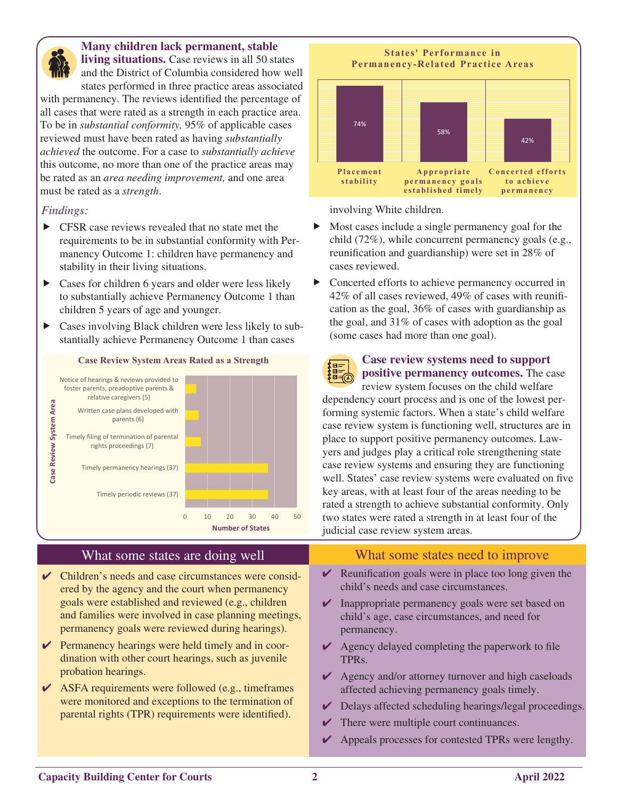

#### **Many children lack permanent, stable**

**living situations.** Case reviews in all 50 states and the District of Columbia considered how well states performed in three practice areas associated

with permanency. The reviews identified the percentage of all cases that were rated as a strength in each practice area. To be in *substantial conformity,* 95% of applicable cases reviewed must have been rated as having *substantially achieved* the outcome. For a case to *substantially achieve*  this outcome, no more than one of the practice areas may be rated as an *area needing improvement,* and one area must be rated as a *strength*.

#### *Findings:*

- $\blacktriangleright$  CFSR case reviews revealed that no state met the requirements to be in substantial conformity with Permanency Outcome 1: children have permanency and stability in their living situations.
- $\triangleright$  Cases for children 6 years and older were less likely to substantially achieve Permanency Outcome 1 than children 5 years of age and younger.
- $\triangleright$  Cases involving Black children were less likely to substantially achieve Permanency Outcome 1 than cases



#### What some states are doing well

- $\vee$  Children's needs and case circumstances were considered by the agency and the court when permanency goals were established and reviewed (e.g., children and families were involved in case planning meetings, permanency goals were reviewed during hearings).
- $\vee$  Permanency hearings were held timely and in coordination with other court hearings, such as juvenile probation hearings.
- $\triangleright$  ASFA requirements were followed (e.g., timeframes) were monitored and exceptions to the termination of parental rights (TPR) requirements were identified).



involving White children.

**SEE SEE** 

- $\blacktriangleright$  Most cases include a single permanency goal for the child (72%), while concurrent permanency goals (e.g., reunification and guardianship) were set in 28% of cases reviewed.
- $\triangleright$  Concerted efforts to achieve permanency occurred in 42% of all cases reviewed, 49% of cases with reunification as the goal, 36% of cases with guardianship as the goal, and 31% of cases with adoption as the goal (some cases had more than one goal).

# **Case review systems need to support positive permanency outcomes.** The case

review system focuses on the child welfare dependency court process and is one of the lowest performing systemic factors. When a state's child welfare case review system is functioning well, structures are in place to support positive permanency outcomes. Lawyers and judges play a critical role strengthening state case review systems and ensuring they are functioning well. States' case review systems were evaluated on five key areas, with at least four of the areas needing to be rated a strength to achieve substantial conformity. Only two states were rated a strength in at least four of the judicial case review system areas.

# What some states need to improve

- $\triangleright$  Reunification goals were in place too long given the child's needs and case circumstances.
- $\vee$  Inappropriate permanency goals were set based on child's age, case circumstances, and need for permanency.
- $\vee$  Agency delayed completing the paperwork to file TPRs.
- $\vee$  Agency and/or attorney turnover and high caseloads affected achieving permanency goals timely.
- $\vee$  Delays affected scheduling hearings/legal proceedings.
- $\triangleright$  There were multiple court continuances.
- $\triangleright$  Appeals processes for contested TPRs were lengthy.